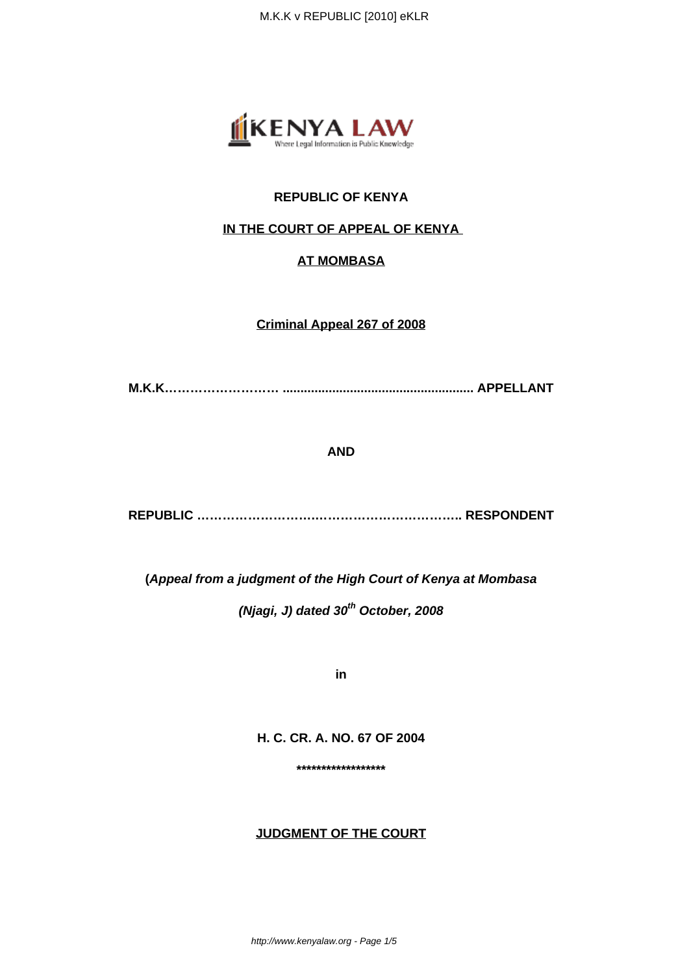

# **REPUBLIC OF KENYA**

# **IN THE COURT OF APPEAL OF KENYA**

# **AT MOMBASA**

**Criminal Appeal 267 of 2008**

**M.K.K……………………… ...................................................... APPELLANT**

### **AND**

**REPUBLIC ……………………….…………………………….. RESPONDENT**

**(Appeal from a judgment of the High Court of Kenya at Mombasa**

**(Njagi, J) dated 30th October, 2008**

**in**

**H. C. CR. A. NO. 67 OF 2004**

**\*\*\*\*\*\*\*\*\*\*\*\*\*\*\*\*\*\***

### **JUDGMENT OF THE COURT**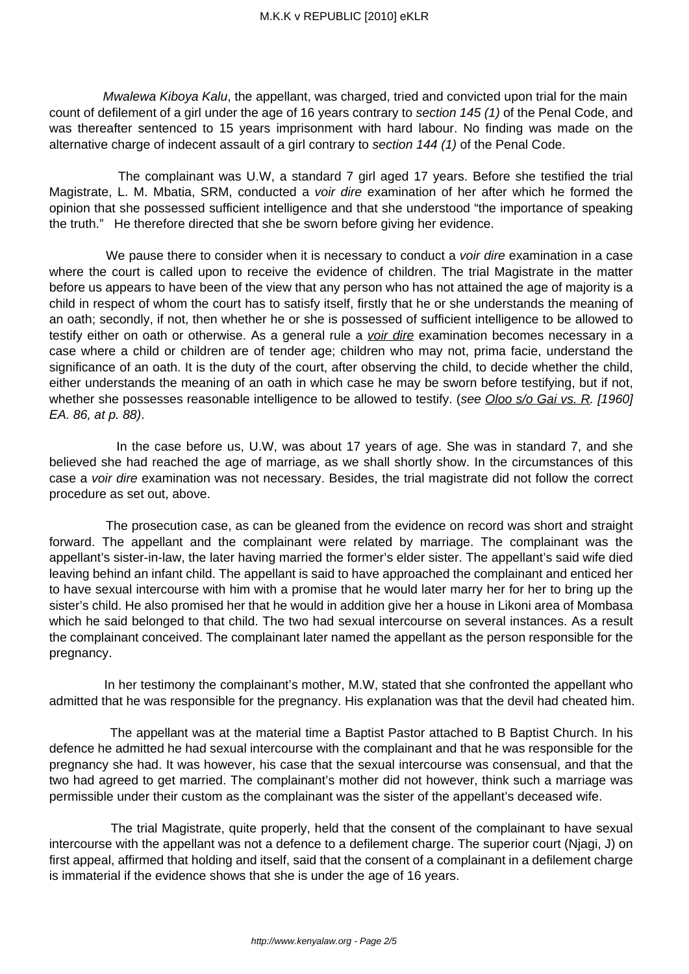Mwalewa Kiboya Kalu, the appellant, was charged, tried and convicted upon trial for the main count of defilement of a girl under the age of 16 years contrary to section 145 (1) of the Penal Code, and was thereafter sentenced to 15 years imprisonment with hard labour. No finding was made on the alternative charge of indecent assault of a girl contrary to section 144 (1) of the Penal Code.

 The complainant was U.W, a standard 7 girl aged 17 years. Before she testified the trial Magistrate, L. M. Mbatia, SRM, conducted a voir dire examination of her after which he formed the opinion that she possessed sufficient intelligence and that she understood "the importance of speaking the truth." He therefore directed that she be sworn before giving her evidence.

We pause there to consider when it is necessary to conduct a *voir dire* examination in a case where the court is called upon to receive the evidence of children. The trial Magistrate in the matter before us appears to have been of the view that any person who has not attained the age of majority is a child in respect of whom the court has to satisfy itself, firstly that he or she understands the meaning of an oath; secondly, if not, then whether he or she is possessed of sufficient intelligence to be allowed to testify either on oath or otherwise. As a general rule a voir dire examination becomes necessary in a case where a child or children are of tender age; children who may not, prima facie, understand the significance of an oath. It is the duty of the court, after observing the child, to decide whether the child, either understands the meaning of an oath in which case he may be sworn before testifying, but if not, whether she possesses reasonable intelligence to be allowed to testify. (see Oloo s/o Gai vs. R. [1960] EA. 86, at p. 88).

 In the case before us, U.W, was about 17 years of age. She was in standard 7, and she believed she had reached the age of marriage, as we shall shortly show. In the circumstances of this case a voir dire examination was not necessary. Besides, the trial magistrate did not follow the correct procedure as set out, above.

 The prosecution case, as can be gleaned from the evidence on record was short and straight forward. The appellant and the complainant were related by marriage. The complainant was the appellant's sister-in-law, the later having married the former's elder sister. The appellant's said wife died leaving behind an infant child. The appellant is said to have approached the complainant and enticed her to have sexual intercourse with him with a promise that he would later marry her for her to bring up the sister's child. He also promised her that he would in addition give her a house in Likoni area of Mombasa which he said belonged to that child. The two had sexual intercourse on several instances. As a result the complainant conceived. The complainant later named the appellant as the person responsible for the pregnancy.

 In her testimony the complainant's mother, M.W, stated that she confronted the appellant who admitted that he was responsible for the pregnancy. His explanation was that the devil had cheated him.

 The appellant was at the material time a Baptist Pastor attached to B Baptist Church. In his defence he admitted he had sexual intercourse with the complainant and that he was responsible for the pregnancy she had. It was however, his case that the sexual intercourse was consensual, and that the two had agreed to get married. The complainant's mother did not however, think such a marriage was permissible under their custom as the complainant was the sister of the appellant's deceased wife.

 The trial Magistrate, quite properly, held that the consent of the complainant to have sexual intercourse with the appellant was not a defence to a defilement charge. The superior court (Njagi, J) on first appeal, affirmed that holding and itself, said that the consent of a complainant in a defilement charge is immaterial if the evidence shows that she is under the age of 16 years.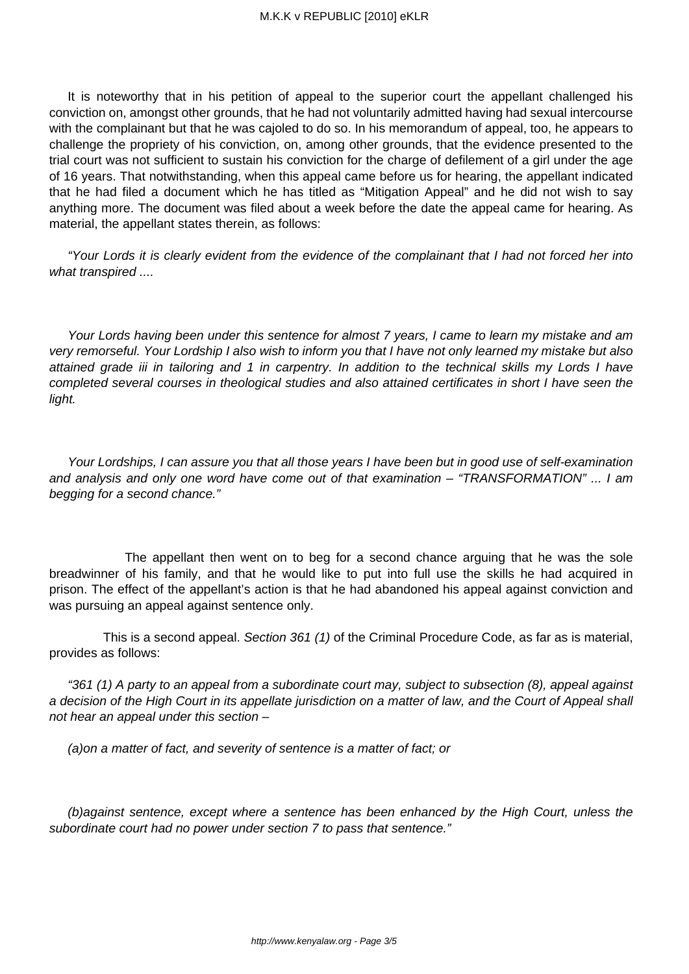It is noteworthy that in his petition of appeal to the superior court the appellant challenged his conviction on, amongst other grounds, that he had not voluntarily admitted having had sexual intercourse with the complainant but that he was cajoled to do so. In his memorandum of appeal, too, he appears to challenge the propriety of his conviction, on, among other grounds, that the evidence presented to the trial court was not sufficient to sustain his conviction for the charge of defilement of a girl under the age of 16 years. That notwithstanding, when this appeal came before us for hearing, the appellant indicated that he had filed a document which he has titled as "Mitigation Appeal" and he did not wish to say anything more. The document was filed about a week before the date the appeal came for hearing. As material, the appellant states therein, as follows:

"Your Lords it is clearly evident from the evidence of the complainant that I had not forced her into what transpired ....

Your Lords having been under this sentence for almost 7 years, I came to learn my mistake and am very remorseful. Your Lordship I also wish to inform you that I have not only learned my mistake but also attained grade iii in tailoring and 1 in carpentry. In addition to the technical skills my Lords I have completed several courses in theological studies and also attained certificates in short I have seen the light.

Your Lordships, I can assure you that all those years I have been but in good use of self-examination and analysis and only one word have come out of that examination – "TRANSFORMATION" ... I am begging for a second chance."

 The appellant then went on to beg for a second chance arguing that he was the sole breadwinner of his family, and that he would like to put into full use the skills he had acquired in prison. The effect of the appellant's action is that he had abandoned his appeal against conviction and was pursuing an appeal against sentence only.

 This is a second appeal. Section 361 (1) of the Criminal Procedure Code, as far as is material, provides as follows:

"361 (1) A party to an appeal from a subordinate court may, subject to subsection (8), appeal against a decision of the High Court in its appellate jurisdiction on a matter of law, and the Court of Appeal shall not hear an appeal under this section –

(a)on a matter of fact, and severity of sentence is a matter of fact; or

(b)against sentence, except where a sentence has been enhanced by the High Court, unless the subordinate court had no power under section 7 to pass that sentence."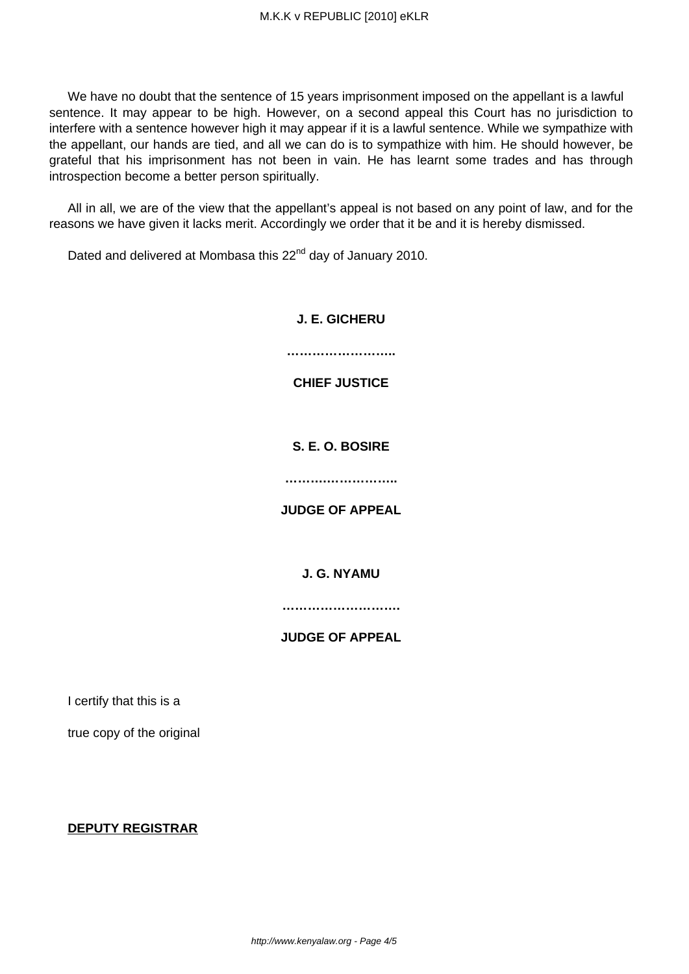We have no doubt that the sentence of 15 years imprisonment imposed on the appellant is a lawful sentence. It may appear to be high. However, on a second appeal this Court has no jurisdiction to interfere with a sentence however high it may appear if it is a lawful sentence. While we sympathize with the appellant, our hands are tied, and all we can do is to sympathize with him. He should however, be grateful that his imprisonment has not been in vain. He has learnt some trades and has through introspection become a better person spiritually.

All in all, we are of the view that the appellant's appeal is not based on any point of law, and for the reasons we have given it lacks merit. Accordingly we order that it be and it is hereby dismissed.

Dated and delivered at Mombasa this 22<sup>nd</sup> day of January 2010.

# **J. E. GICHERU …………………….. CHIEF JUSTICE S. E. O. BOSIRE ……….…………….. JUDGE OF APPEAL**

# **J. G. NYAMU**

**……………………….**

# **JUDGE OF APPEAL**

I certify that this is a

true copy of the original

### **DEPUTY REGISTRAR**